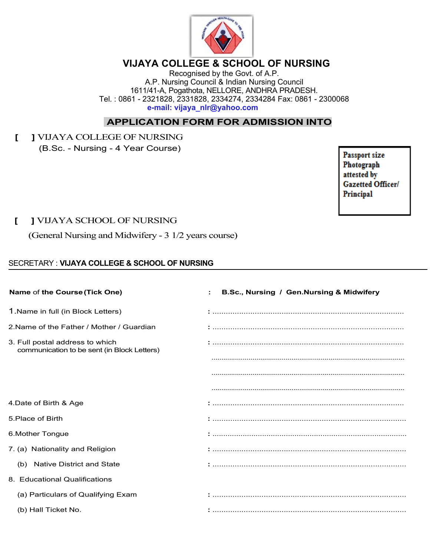

# **VIJAYA COLLEGE & SCHOOL OF NURSING**

Recognised by the Govt. of A.P. A.P. Nursing Council & Indian Nursing Council 1611/41-A, Pogathota, NELLORE, ANDHRA PRADESH. Tel. : 0861 - 2321828, 2331828, 2334274, 2334284 Fax: 0861 - 2300068 **e-mail: vijaya\_nlr@yahoo.com**

## **APPLICATION FORM FOR ADMISSION INTO**

**[ ]** VIJAYA COLLEGE OF NURSING (B.Sc. - Nursing - 4 Year Course)

Passport size Photograph attested by **Gazetted Officer/** Principal

### **[ ]** VIJAYA SCHOOL OF NURSING

(General Nursing and Midwifery - 3 1/2 years course)

#### SECRETARY : **VIJAYA COLLEGE & SCHOOL OF NURSING**

| Name of the Course (Tick One)                                                  | B.Sc., Nursing / Gen.Nursing & Midwifery |
|--------------------------------------------------------------------------------|------------------------------------------|
| 1. Name in full (in Block Letters)                                             |                                          |
| 2. Name of the Father / Mother / Guardian                                      |                                          |
| 3. Full postal address to which<br>communication to be sent (in Block Letters) |                                          |
|                                                                                |                                          |
|                                                                                |                                          |
|                                                                                |                                          |
| 4. Date of Birth & Age                                                         |                                          |
| 5. Place of Birth                                                              |                                          |
| 6. Mother Tongue                                                               |                                          |
| 7. (a) Nationality and Religion                                                |                                          |
| (b) Native District and State                                                  |                                          |
| 8. Educational Qualifications                                                  |                                          |
| (a) Particulars of Qualifying Exam                                             |                                          |
| (b) Hall Ticket No.                                                            |                                          |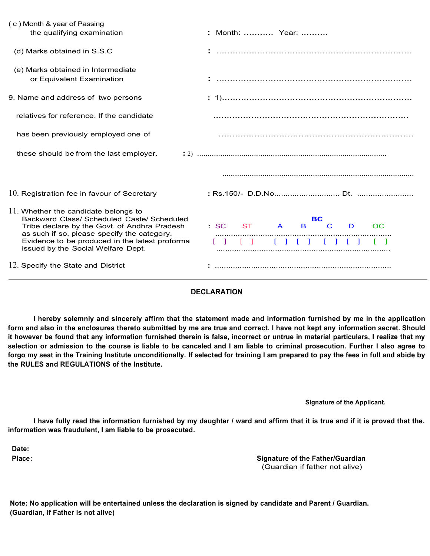| (c) Month & year of Passing                                                                                                                                                                                                         |                                                         |
|-------------------------------------------------------------------------------------------------------------------------------------------------------------------------------------------------------------------------------------|---------------------------------------------------------|
| the qualifying examination                                                                                                                                                                                                          | : Month:  Year:                                         |
| (d) Marks obtained in S.S.C                                                                                                                                                                                                         |                                                         |
| (e) Marks obtained in Intermediate<br>or Equivalent Examination                                                                                                                                                                     |                                                         |
| 9. Name and address of two persons                                                                                                                                                                                                  |                                                         |
| relatives for reference. If the candidate                                                                                                                                                                                           |                                                         |
| has been previously employed one of                                                                                                                                                                                                 |                                                         |
| these should be from the last employer.                                                                                                                                                                                             |                                                         |
|                                                                                                                                                                                                                                     |                                                         |
| 10. Registration fee in favour of Secretary                                                                                                                                                                                         |                                                         |
| 11. Whether the candidate belongs to<br>Backward Class/ Scheduled Caste/ Scheduled<br>Tribe declare by the Govt. of Andhra Pradesh<br>as such if so, please specify the category.<br>Evidence to be produced in the latest proforma | <b>BC</b><br>$\mathsf{C}$<br>ST A<br>B.<br>C<br>D<br>OC |
| issued by the Social Welfare Dept.<br>12. Specify the State and District                                                                                                                                                            |                                                         |

#### **DECLARATION**

I hereby solemnly and sincerely affirm that the statement made and information furnished by me in the application form and also in the enclosures thereto submitted by me are true and correct. I have not kept any information secret. Should it however be found that any information furnished therein is false, incorrect or untrue in material particulars, I realize that my selection or admission to the course is liable to be canceled and I am liable to criminal prosecution. Further I also agree to **forgo my seat in the Training Institute unconditionally. If selected for training I am prepared to pay the fees in full and abide by the RULES and REGULATIONS of the Institute.**

**Signature of the Applicant.**

I have fully read the information furnished by my daughter / ward and affirm that it is true and if it is proved that the. **information was fraudulent, I am liable to be prosecuted.**

**Date:**

**Place: Signature of the Father/Guardian** (Guardian if father not alive)

**Note: No application will be entertained unless the declaration is signed by candidate and Parent / Guardian. (Guardian, if Father is not alive)**